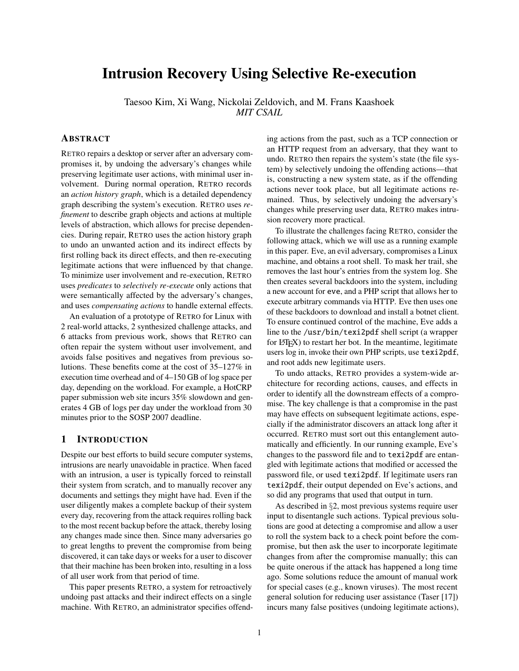# Intrusion Recovery Using Selective Re-execution

Taesoo Kim, Xi Wang, Nickolai Zeldovich, and M. Frans Kaashoek *MIT CSAIL*

# ABSTRACT

RETRO repairs a desktop or server after an adversary compromises it, by undoing the adversary's changes while preserving legitimate user actions, with minimal user involvement. During normal operation, RETRO records an *action history graph*, which is a detailed dependency graph describing the system's execution. RETRO uses *refinement* to describe graph objects and actions at multiple levels of abstraction, which allows for precise dependencies. During repair, RETRO uses the action history graph to undo an unwanted action and its indirect effects by first rolling back its direct effects, and then re-executing legitimate actions that were influenced by that change. To minimize user involvement and re-execution, RETRO uses *predicates* to *selectively re-execute* only actions that were semantically affected by the adversary's changes, and uses *compensating actions* to handle external effects.

An evaluation of a prototype of RETRO for Linux with 2 real-world attacks, 2 synthesized challenge attacks, and 6 attacks from previous work, shows that RETRO can often repair the system without user involvement, and avoids false positives and negatives from previous solutions. These benefits come at the cost of 35–127% in execution time overhead and of 4–150 GB of log space per day, depending on the workload. For example, a HotCRP paper submission web site incurs 35% slowdown and generates 4 GB of logs per day under the workload from 30 minutes prior to the SOSP 2007 deadline.

### 1 INTRODUCTION

Despite our best efforts to build secure computer systems, intrusions are nearly unavoidable in practice. When faced with an intrusion, a user is typically forced to reinstall their system from scratch, and to manually recover any documents and settings they might have had. Even if the user diligently makes a complete backup of their system every day, recovering from the attack requires rolling back to the most recent backup before the attack, thereby losing any changes made since then. Since many adversaries go to great lengths to prevent the compromise from being discovered, it can take days or weeks for a user to discover that their machine has been broken into, resulting in a loss of all user work from that period of time.

This paper presents RETRO, a system for retroactively undoing past attacks and their indirect effects on a single machine. With RETRO, an administrator specifies offending actions from the past, such as a TCP connection or an HTTP request from an adversary, that they want to undo. RETRO then repairs the system's state (the file system) by selectively undoing the offending actions—that is, constructing a new system state, as if the offending actions never took place, but all legitimate actions remained. Thus, by selectively undoing the adversary's changes while preserving user data, RETRO makes intrusion recovery more practical.

To illustrate the challenges facing RETRO, consider the following attack, which we will use as a running example in this paper. Eve, an evil adversary, compromises a Linux machine, and obtains a root shell. To mask her trail, she removes the last hour's entries from the system log. She then creates several backdoors into the system, including a new account for eve, and a PHP script that allows her to execute arbitrary commands via HTTP. Eve then uses one of these backdoors to download and install a botnet client. To ensure continued control of the machine, Eve adds a line to the /usr/bin/texi2pdf shell script (a wrapper for  $L^p$ F<sub>F</sub>X $)$  to restart her bot. In the meantime, legitimate users log in, invoke their own PHP scripts, use texi2pdf, and root adds new legitimate users.

To undo attacks, RETRO provides a system-wide architecture for recording actions, causes, and effects in order to identify all the downstream effects of a compromise. The key challenge is that a compromise in the past may have effects on subsequent legitimate actions, especially if the administrator discovers an attack long after it occurred. RETRO must sort out this entanglement automatically and efficiently. In our running example, Eve's changes to the password file and to texi2pdf are entangled with legitimate actions that modified or accessed the password file, or used texi2pdf. If legitimate users ran texi2pdf, their output depended on Eve's actions, and so did any programs that used that output in turn.

As described in §[2,](#page-1-0) most previous systems require user input to disentangle such actions. Typical previous solutions are good at detecting a compromise and allow a user to roll the system back to a check point before the compromise, but then ask the user to incorporate legitimate changes from after the compromise manually; this can be quite onerous if the attack has happened a long time ago. Some solutions reduce the amount of manual work for special cases (e.g., known viruses). The most recent general solution for reducing user assistance (Taser [\[17\]](#page-15-0)) incurs many false positives (undoing legitimate actions),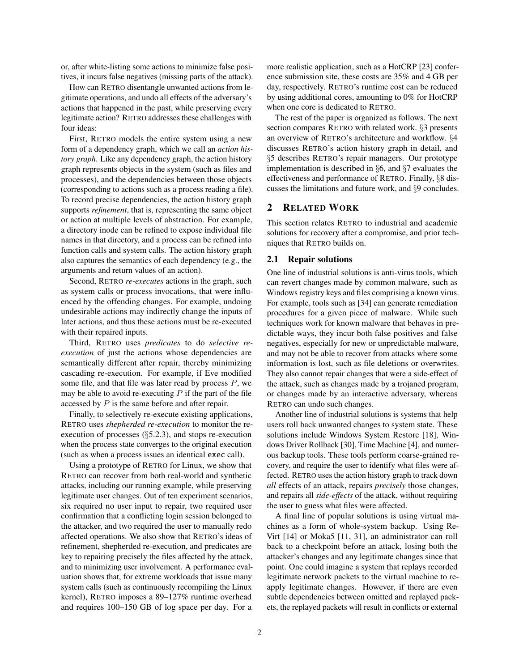or, after white-listing some actions to minimize false positives, it incurs false negatives (missing parts of the attack).

How can RETRO disentangle unwanted actions from legitimate operations, and undo all effects of the adversary's actions that happened in the past, while preserving every legitimate action? RETRO addresses these challenges with four ideas:

First, RETRO models the entire system using a new form of a dependency graph, which we call an *action history graph*. Like any dependency graph, the action history graph represents objects in the system (such as files and processes), and the dependencies between those objects (corresponding to actions such as a process reading a file). To record precise dependencies, the action history graph supports *refinement*, that is, representing the same object or action at multiple levels of abstraction. For example, a directory inode can be refined to expose individual file names in that directory, and a process can be refined into function calls and system calls. The action history graph also captures the semantics of each dependency (e.g., the arguments and return values of an action).

Second, RETRO *re-executes* actions in the graph, such as system calls or process invocations, that were influenced by the offending changes. For example, undoing undesirable actions may indirectly change the inputs of later actions, and thus these actions must be re-executed with their repaired inputs.

Third, RETRO uses *predicates* to do *selective reexecution* of just the actions whose dependencies are semantically different after repair, thereby minimizing cascading re-execution. For example, if Eve modified some file, and that file was later read by process  $P$ , we may be able to avoid re-executing  $P$  if the part of the file accessed by P is the same before and after repair.

Finally, to selectively re-execute existing applications, RETRO uses *shepherded re-execution* to monitor the reexecution of processes  $(\S5.2.3)$  $(\S5.2.3)$ , and stops re-execution when the process state converges to the original execution (such as when a process issues an identical exec call).

Using a prototype of RETRO for Linux, we show that RETRO can recover from both real-world and synthetic attacks, including our running example, while preserving legitimate user changes. Out of ten experiment scenarios, six required no user input to repair, two required user confirmation that a conflicting login session belonged to the attacker, and two required the user to manually redo affected operations. We also show that RETRO's ideas of refinement, shepherded re-execution, and predicates are key to repairing precisely the files affected by the attack, and to minimizing user involvement. A performance evaluation shows that, for extreme workloads that issue many system calls (such as continuously recompiling the Linux kernel), RETRO imposes a 89–127% runtime overhead and requires 100–150 GB of log space per day. For a

more realistic application, such as a HotCRP [\[23\]](#page-15-1) conference submission site, these costs are 35% and 4 GB per day, respectively. RETRO's runtime cost can be reduced by using additional cores, amounting to 0% for HotCRP when one core is dedicated to RETRO.

The rest of the paper is organized as follows. The next section compares RETRO with related work. §[3](#page-2-0) presents an overview of RETRO's architecture and workflow. §[4](#page-4-0) discusses RETRO's action history graph in detail, and §[5](#page-8-0) describes RETRO's repair managers. Our prototype implementation is described in §[6,](#page-11-0) and §[7](#page-11-1) evaluates the effectiveness and performance of RETRO. Finally, §[8](#page-14-0) discusses the limitations and future work, and §[9](#page-14-1) concludes.

# <span id="page-1-0"></span>2 RELATED WORK

This section relates RETRO to industrial and academic solutions for recovery after a compromise, and prior techniques that RETRO builds on.

### 2.1 Repair solutions

One line of industrial solutions is anti-virus tools, which can revert changes made by common malware, such as Windows registry keys and files comprising a known virus. For example, tools such as [\[34\]](#page-15-2) can generate remediation procedures for a given piece of malware. While such techniques work for known malware that behaves in predictable ways, they incur both false positives and false negatives, especially for new or unpredictable malware, and may not be able to recover from attacks where some information is lost, such as file deletions or overwrites. They also cannot repair changes that were a side-effect of the attack, such as changes made by a trojaned program, or changes made by an interactive adversary, whereas RETRO can undo such changes.

Another line of industrial solutions is systems that help users roll back unwanted changes to system state. These solutions include Windows System Restore [\[18\]](#page-15-3), Windows Driver Rollback [\[30\]](#page-15-4), Time Machine [\[4\]](#page-15-5), and numerous backup tools. These tools perform coarse-grained recovery, and require the user to identify what files were affected. RETRO uses the action history graph to track down *all* effects of an attack, repairs *precisely* those changes, and repairs all *side-effects* of the attack, without requiring the user to guess what files were affected.

A final line of popular solutions is using virtual machines as a form of whole-system backup. Using Re-Virt [\[14\]](#page-15-6) or Moka5 [\[11,](#page-15-7) [31\]](#page-15-8), an administrator can roll back to a checkpoint before an attack, losing both the attacker's changes and any legitimate changes since that point. One could imagine a system that replays recorded legitimate network packets to the virtual machine to reapply legitimate changes. However, if there are even subtle dependencies between omitted and replayed packets, the replayed packets will result in conflicts or external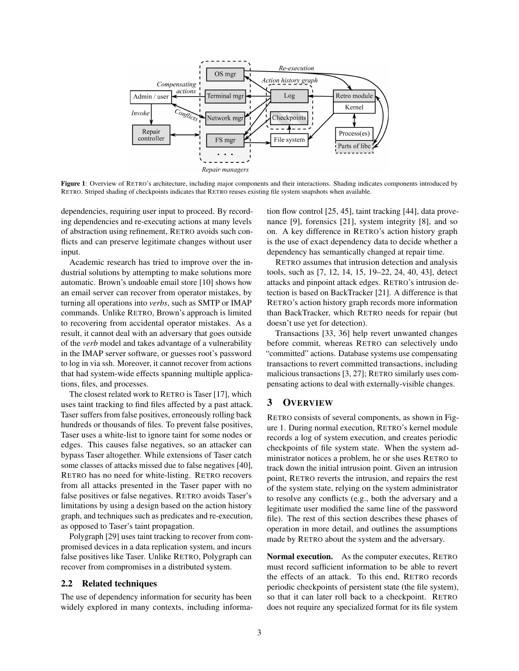

<span id="page-2-1"></span>Figure 1: Overview of RETRO's architecture, including major components and their interactions. Shading indicates components introduced by RETRO. Striped shading of checkpoints indicates that RETRO reuses existing file system snapshots when available.

dependencies, requiring user input to proceed. By recording dependencies and re-executing actions at many levels of abstraction using refinement, RETRO avoids such conflicts and can preserve legitimate changes without user input.

Academic research has tried to improve over the industrial solutions by attempting to make solutions more automatic. Brown's undoable email store [\[10\]](#page-15-9) shows how an email server can recover from operator mistakes, by turning all operations into *verbs*, such as SMTP or IMAP commands. Unlike RETRO, Brown's approach is limited to recovering from accidental operator mistakes. As a result, it cannot deal with an adversary that goes outside of the *verb* model and takes advantage of a vulnerability in the IMAP server software, or guesses root's password to log in via ssh. Moreover, it cannot recover from actions that had system-wide effects spanning multiple applications, files, and processes.

The closest related work to RETRO is Taser [\[17\]](#page-15-0), which uses taint tracking to find files affected by a past attack. Taser suffers from false positives, erroneously rolling back hundreds or thousands of files. To prevent false positives, Taser uses a white-list to ignore taint for some nodes or edges. This causes false negatives, so an attacker can bypass Taser altogether. While extensions of Taser catch some classes of attacks missed due to false negatives [\[40\]](#page-15-10), RETRO has no need for white-listing. RETRO recovers from all attacks presented in the Taser paper with no false positives or false negatives. RETRO avoids Taser's limitations by using a design based on the action history graph, and techniques such as predicates and re-execution, as opposed to Taser's taint propagation.

Polygraph [\[29\]](#page-15-11) uses taint tracking to recover from compromised devices in a data replication system, and incurs false positives like Taser. Unlike RETRO, Polygraph can recover from compromises in a distributed system.

#### 2.2 Related techniques

The use of dependency information for security has been widely explored in many contexts, including information flow control [\[25,](#page-15-12) [45\]](#page-15-13), taint tracking [\[44\]](#page-15-14), data provenance [\[9\]](#page-15-15), forensics [\[21\]](#page-15-16), system integrity [\[8\]](#page-15-17), and so on. A key difference in RETRO's action history graph is the use of exact dependency data to decide whether a dependency has semantically changed at repair time.

RETRO assumes that intrusion detection and analysis tools, such as [\[7,](#page-15-18) [12,](#page-15-19) [14,](#page-15-6) [15,](#page-15-20) [19–](#page-15-21)[22,](#page-15-22) [24,](#page-15-23) [40,](#page-15-10) [43\]](#page-15-24), detect attacks and pinpoint attack edges. RETRO's intrusion detection is based on BackTracker [\[21\]](#page-15-16). A difference is that RETRO's action history graph records more information than BackTracker, which RETRO needs for repair (but doesn't use yet for detection).

Transactions [\[33,](#page-15-25) [36\]](#page-15-26) help revert unwanted changes before commit, whereas RETRO can selectively undo "committed" actions. Database systems use compensating transactions to revert committed transactions, including malicious transactions [\[3,](#page-15-27) [27\]](#page-15-28); RETRO similarly uses compensating actions to deal with externally-visible changes.

# <span id="page-2-0"></span>3 OVERVIEW

RETRO consists of several components, as shown in Figure [1.](#page-2-1) During normal execution, RETRO's kernel module records a log of system execution, and creates periodic checkpoints of file system state. When the system administrator notices a problem, he or she uses RETRO to track down the initial intrusion point. Given an intrusion point, RETRO reverts the intrusion, and repairs the rest of the system state, relying on the system administrator to resolve any conflicts (e.g., both the adversary and a legitimate user modified the same line of the password file). The rest of this section describes these phases of operation in more detail, and outlines the assumptions made by RETRO about the system and the adversary.

Normal execution. As the computer executes, RETRO must record sufficient information to be able to revert the effects of an attack. To this end, RETRO records periodic checkpoints of persistent state (the file system), so that it can later roll back to a checkpoint. RETRO does not require any specialized format for its file system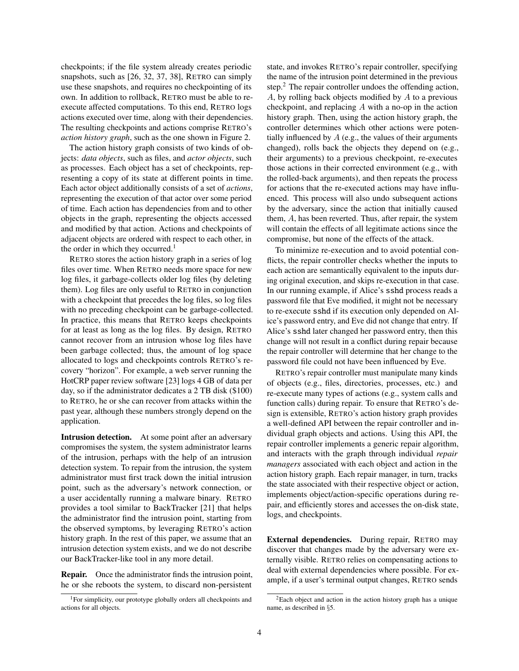checkpoints; if the file system already creates periodic snapshots, such as [\[26,](#page-15-29) [32,](#page-15-30) [37,](#page-15-31) [38\]](#page-15-32), RETRO can simply use these snapshots, and requires no checkpointing of its own. In addition to rollback, RETRO must be able to reexecute affected computations. To this end, RETRO logs actions executed over time, along with their dependencies. The resulting checkpoints and actions comprise RETRO's *action history graph*, such as the one shown in Figure [2.](#page-4-1)

The action history graph consists of two kinds of objects: *data objects*, such as files, and *actor objects*, such as processes. Each object has a set of checkpoints, representing a copy of its state at different points in time. Each actor object additionally consists of a set of *actions*, representing the execution of that actor over some period of time. Each action has dependencies from and to other objects in the graph, representing the objects accessed and modified by that action. Actions and checkpoints of adjacent objects are ordered with respect to each other, in the order in which they occurred.<sup>[1](#page-3-0)</sup>

RETRO stores the action history graph in a series of log files over time. When RETRO needs more space for new log files, it garbage-collects older log files (by deleting them). Log files are only useful to RETRO in conjunction with a checkpoint that precedes the log files, so log files with no preceding checkpoint can be garbage-collected. In practice, this means that RETRO keeps checkpoints for at least as long as the log files. By design, RETRO cannot recover from an intrusion whose log files have been garbage collected; thus, the amount of log space allocated to logs and checkpoints controls RETRO's recovery "horizon". For example, a web server running the HotCRP paper review software [\[23\]](#page-15-1) logs 4 GB of data per day, so if the administrator dedicates a 2 TB disk (\$100) to RETRO, he or she can recover from attacks within the past year, although these numbers strongly depend on the application.

Intrusion detection. At some point after an adversary compromises the system, the system administrator learns of the intrusion, perhaps with the help of an intrusion detection system. To repair from the intrusion, the system administrator must first track down the initial intrusion point, such as the adversary's network connection, or a user accidentally running a malware binary. RETRO provides a tool similar to BackTracker [\[21\]](#page-15-16) that helps the administrator find the intrusion point, starting from the observed symptoms, by leveraging RETRO's action history graph. In the rest of this paper, we assume that an intrusion detection system exists, and we do not describe our BackTracker-like tool in any more detail.

Repair. Once the administrator finds the intrusion point, he or she reboots the system, to discard non-persistent

state, and invokes RETRO's repair controller, specifying the name of the intrusion point determined in the previous step.<sup>[2](#page-3-1)</sup> The repair controller undoes the offending action, A, by rolling back objects modified by A to a previous checkpoint, and replacing A with a no-op in the action history graph. Then, using the action history graph, the controller determines which other actions were potentially influenced by  $A$  (e.g., the values of their arguments changed), rolls back the objects they depend on (e.g., their arguments) to a previous checkpoint, re-executes those actions in their corrected environment (e.g., with the rolled-back arguments), and then repeats the process for actions that the re-executed actions may have influenced. This process will also undo subsequent actions by the adversary, since the action that initially caused them, A, has been reverted. Thus, after repair, the system will contain the effects of all legitimate actions since the compromise, but none of the effects of the attack.

To minimize re-execution and to avoid potential conflicts, the repair controller checks whether the inputs to each action are semantically equivalent to the inputs during original execution, and skips re-execution in that case. In our running example, if Alice's sshd process reads a password file that Eve modified, it might not be necessary to re-execute sshd if its execution only depended on Alice's password entry, and Eve did not change that entry. If Alice's sshd later changed her password entry, then this change will not result in a conflict during repair because the repair controller will determine that her change to the password file could not have been influenced by Eve.

RETRO's repair controller must manipulate many kinds of objects (e.g., files, directories, processes, etc.) and re-execute many types of actions (e.g., system calls and function calls) during repair. To ensure that RETRO's design is extensible, RETRO's action history graph provides a well-defined API between the repair controller and individual graph objects and actions. Using this API, the repair controller implements a generic repair algorithm, and interacts with the graph through individual *repair managers* associated with each object and action in the action history graph. Each repair manager, in turn, tracks the state associated with their respective object or action, implements object/action-specific operations during repair, and efficiently stores and accesses the on-disk state, logs, and checkpoints.

External dependencies. During repair, RETRO may discover that changes made by the adversary were externally visible. RETRO relies on compensating actions to deal with external dependencies where possible. For example, if a user's terminal output changes, RETRO sends

<span id="page-3-0"></span><sup>1</sup>For simplicity, our prototype globally orders all checkpoints and actions for all objects.

<span id="page-3-1"></span><sup>2</sup>Each object and action in the action history graph has a unique name, as described in §[5.](#page-8-0)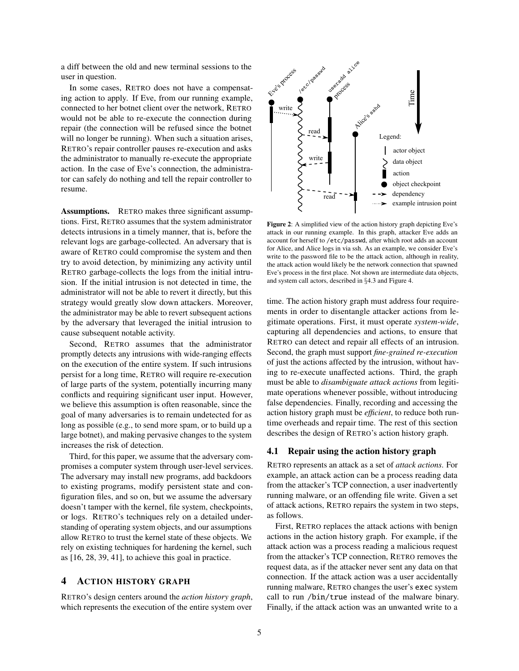a diff between the old and new terminal sessions to the user in question.

In some cases, RETRO does not have a compensating action to apply. If Eve, from our running example, connected to her botnet client over the network, RETRO would not be able to re-execute the connection during repair (the connection will be refused since the botnet will no longer be running). When such a situation arises, RETRO's repair controller pauses re-execution and asks the administrator to manually re-execute the appropriate action. In the case of Eve's connection, the administrator can safely do nothing and tell the repair controller to resume.

Assumptions. RETRO makes three significant assumptions. First, RETRO assumes that the system administrator detects intrusions in a timely manner, that is, before the relevant logs are garbage-collected. An adversary that is aware of RETRO could compromise the system and then try to avoid detection, by minimizing any activity until RETRO garbage-collects the logs from the initial intrusion. If the initial intrusion is not detected in time, the administrator will not be able to revert it directly, but this strategy would greatly slow down attackers. Moreover, the administrator may be able to revert subsequent actions by the adversary that leveraged the initial intrusion to cause subsequent notable activity.

Second, RETRO assumes that the administrator promptly detects any intrusions with wide-ranging effects on the execution of the entire system. If such intrusions persist for a long time, RETRO will require re-execution of large parts of the system, potentially incurring many conflicts and requiring significant user input. However, we believe this assumption is often reasonable, since the goal of many adversaries is to remain undetected for as long as possible (e.g., to send more spam, or to build up a large botnet), and making pervasive changes to the system increases the risk of detection.

Third, for this paper, we assume that the adversary compromises a computer system through user-level services. The adversary may install new programs, add backdoors to existing programs, modify persistent state and configuration files, and so on, but we assume the adversary doesn't tamper with the kernel, file system, checkpoints, or logs. RETRO's techniques rely on a detailed understanding of operating system objects, and our assumptions allow RETRO to trust the kernel state of these objects. We rely on existing techniques for hardening the kernel, such as [\[16,](#page-15-33) [28,](#page-15-34) [39,](#page-15-35) [41\]](#page-15-36), to achieve this goal in practice.

# <span id="page-4-0"></span>4 ACTION HISTORY GRAPH

RETRO's design centers around the *action history graph*, which represents the execution of the entire system over



<span id="page-4-1"></span>Figure 2: A simplified view of the action history graph depicting Eve's attack in our running example. In this graph, attacker Eve adds an account for herself to /etc/passwd, after which root adds an account for Alice, and Alice logs in via ssh. As an example, we consider Eve's write to the password file to be the attack action, although in reality, the attack action would likely be the network connection that spawned Eve's process in the first place. Not shown are intermediate data objects, and system call actors, described in §[4.3](#page-6-0) and Figure [4.](#page-6-1)

time. The action history graph must address four requirements in order to disentangle attacker actions from legitimate operations. First, it must operate *system-wide*, capturing all dependencies and actions, to ensure that RETRO can detect and repair all effects of an intrusion. Second, the graph must support *fine-grained re-execution* of just the actions affected by the intrusion, without having to re-execute unaffected actions. Third, the graph must be able to *disambiguate attack actions* from legitimate operations whenever possible, without introducing false dependencies. Finally, recording and accessing the action history graph must be *efficient*, to reduce both runtime overheads and repair time. The rest of this section describes the design of RETRO's action history graph.

#### 4.1 Repair using the action history graph

RETRO represents an attack as a set of *attack actions*. For example, an attack action can be a process reading data from the attacker's TCP connection, a user inadvertently running malware, or an offending file write. Given a set of attack actions, RETRO repairs the system in two steps, as follows.

First, RETRO replaces the attack actions with benign actions in the action history graph. For example, if the attack action was a process reading a malicious request from the attacker's TCP connection, RETRO removes the request data, as if the attacker never sent any data on that connection. If the attack action was a user accidentally running malware, RETRO changes the user's exec system call to run /bin/true instead of the malware binary. Finally, if the attack action was an unwanted write to a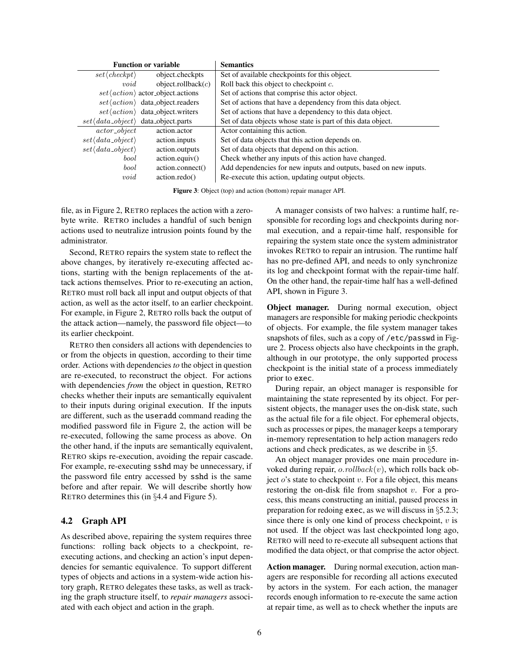|                                                      | <b>Function or variable</b>                       | <b>Semantics</b>                                                  |  |  |  |  |
|------------------------------------------------------|---------------------------------------------------|-------------------------------------------------------------------|--|--|--|--|
| $set \langle checkpt \rangle$                        | object.checkpts                                   | Set of available checkpoints for this object.                     |  |  |  |  |
| void                                                 | object.rollback $(c)$                             | Roll back this object to checkpoint c.                            |  |  |  |  |
|                                                      | $set \langle action \rangle$ actor_object.actions | Set of actions that comprise this actor object.                   |  |  |  |  |
|                                                      | $set\langle action \rangle$ data_object.readers   | Set of actions that have a dependency from this data object.      |  |  |  |  |
|                                                      | $set\langle action \rangle$ data_object.writers   | Set of actions that have a dependency to this data object.        |  |  |  |  |
| $set \langle data\_object \rangle$ data_object.parts |                                                   | Set of data objects whose state is part of this data object.      |  |  |  |  |
| $actor\_object$                                      | action.actor                                      | Actor containing this action.                                     |  |  |  |  |
| $set \langle data\_object \rangle$                   | action.inputs                                     | Set of data objects that this action depends on.                  |  |  |  |  |
| $set \langle data\_object \rangle$                   | action.outputs                                    | Set of data objects that depend on this action.                   |  |  |  |  |
| bool                                                 | action.equiv()                                    | Check whether any inputs of this action have changed.             |  |  |  |  |
| bool                                                 | action.connect()                                  | Add dependencies for new inputs and outputs, based on new inputs. |  |  |  |  |
| void                                                 | action.redo()                                     | Re-execute this action, updating output objects.                  |  |  |  |  |

<span id="page-5-0"></span>Figure 3: Object (top) and action (bottom) repair manager API.

file, as in Figure [2,](#page-4-1) RETRO replaces the action with a zerobyte write. RETRO includes a handful of such benign actions used to neutralize intrusion points found by the administrator.

Second, RETRO repairs the system state to reflect the above changes, by iteratively re-executing affected actions, starting with the benign replacements of the attack actions themselves. Prior to re-executing an action, RETRO must roll back all input and output objects of that action, as well as the actor itself, to an earlier checkpoint. For example, in Figure [2,](#page-4-1) RETRO rolls back the output of the attack action—namely, the password file object—to its earlier checkpoint.

RETRO then considers all actions with dependencies to or from the objects in question, according to their time order. Actions with dependencies *to* the object in question are re-executed, to reconstruct the object. For actions with dependencies *from* the object in question, RETRO checks whether their inputs are semantically equivalent to their inputs during original execution. If the inputs are different, such as the useradd command reading the modified password file in Figure [2,](#page-4-1) the action will be re-executed, following the same process as above. On the other hand, if the inputs are semantically equivalent, RETRO skips re-execution, avoiding the repair cascade. For example, re-executing sshd may be unnecessary, if the password file entry accessed by sshd is the same before and after repair. We will describe shortly how RETRO determines this (in §[4.4](#page-7-0) and Figure [5\)](#page-6-2).

### 4.2 Graph API

As described above, repairing the system requires three functions: rolling back objects to a checkpoint, reexecuting actions, and checking an action's input dependencies for semantic equivalence. To support different types of objects and actions in a system-wide action history graph, RETRO delegates these tasks, as well as tracking the graph structure itself, to *repair managers* associated with each object and action in the graph.

A manager consists of two halves: a runtime half, responsible for recording logs and checkpoints during normal execution, and a repair-time half, responsible for repairing the system state once the system administrator invokes RETRO to repair an intrusion. The runtime half has no pre-defined API, and needs to only synchronize its log and checkpoint format with the repair-time half. On the other hand, the repair-time half has a well-defined API, shown in Figure [3.](#page-5-0)

Object manager. During normal execution, object managers are responsible for making periodic checkpoints of objects. For example, the file system manager takes snapshots of files, such as a copy of /etc/passwd in Figure [2.](#page-4-1) Process objects also have checkpoints in the graph, although in our prototype, the only supported process checkpoint is the initial state of a process immediately prior to exec.

During repair, an object manager is responsible for maintaining the state represented by its object. For persistent objects, the manager uses the on-disk state, such as the actual file for a file object. For ephemeral objects, such as processes or pipes, the manager keeps a temporary in-memory representation to help action managers redo actions and check predicates, as we describe in §[5.](#page-8-0)

An object manager provides one main procedure invoked during repair,  $o.$  rollback $(v)$ , which rolls back object  $o$ 's state to checkpoint  $v$ . For a file object, this means restoring the on-disk file from snapshot  $v$ . For a process, this means constructing an initial, paused process in preparation for redoing exec, as we will discuss in §[5.2.3;](#page-9-0) since there is only one kind of process checkpoint,  $v$  is not used. If the object was last checkpointed long ago, RETRO will need to re-execute all subsequent actions that modified the data object, or that comprise the actor object.

Action manager. During normal execution, action managers are responsible for recording all actions executed by actors in the system. For each action, the manager records enough information to re-execute the same action at repair time, as well as to check whether the inputs are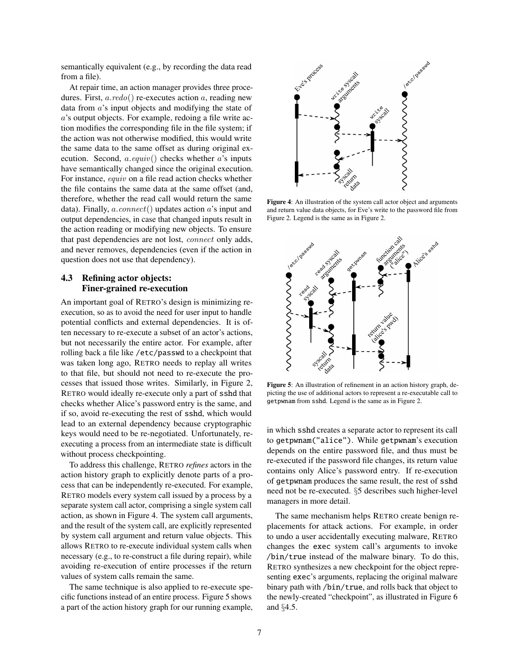semantically equivalent (e.g., by recording the data read from a file).

At repair time, an action manager provides three procedures. First,  $a.reado()$  re-executes action  $a$ , reading new data from a's input objects and modifying the state of a's output objects. For example, redoing a file write action modifies the corresponding file in the file system; if the action was not otherwise modified, this would write the same data to the same offset as during original execution. Second,  $a.\text{equiv}()$  checks whether  $a$ 's inputs have semantically changed since the original execution. For instance, equiv on a file read action checks whether the file contains the same data at the same offset (and, therefore, whether the read call would return the same data). Finally,  $a$ .connect() updates action  $a$ 's input and output dependencies, in case that changed inputs result in the action reading or modifying new objects. To ensure that past dependencies are not lost, connect only adds, and never removes, dependencies (even if the action in question does not use that dependency).

### <span id="page-6-0"></span>4.3 Refining actor objects: Finer-grained re-execution

An important goal of RETRO's design is minimizing reexecution, so as to avoid the need for user input to handle potential conflicts and external dependencies. It is often necessary to re-execute a subset of an actor's actions, but not necessarily the entire actor. For example, after rolling back a file like /etc/passwd to a checkpoint that was taken long ago, RETRO needs to replay all writes to that file, but should not need to re-execute the processes that issued those writes. Similarly, in Figure [2,](#page-4-1) RETRO would ideally re-execute only a part of sshd that checks whether Alice's password entry is the same, and if so, avoid re-executing the rest of sshd, which would lead to an external dependency because cryptographic keys would need to be re-negotiated. Unfortunately, reexecuting a process from an intermediate state is difficult without process checkpointing.

To address this challenge, RETRO *refines* actors in the action history graph to explicitly denote parts of a process that can be independently re-executed. For example, RETRO models every system call issued by a process by a separate system call actor, comprising a single system call action, as shown in Figure [4.](#page-6-1) The system call arguments, and the result of the system call, are explicitly represented by system call argument and return value objects. This allows RETRO to re-execute individual system calls when necessary (e.g., to re-construct a file during repair), while avoiding re-execution of entire processes if the return values of system calls remain the same.

The same technique is also applied to re-execute specific functions instead of an entire process. Figure [5](#page-6-2) shows a part of the action history graph for our running example,



<span id="page-6-1"></span>Figure 4: An illustration of the system call actor object and arguments and return value data objects, for Eve's write to the password file from Figure [2.](#page-4-1) Legend is the same as in Figure [2.](#page-4-1)



<span id="page-6-2"></span>Figure 5: An illustration of refinement in an action history graph, depicting the use of additional actors to represent a re-executable call to getpwnam from sshd. Legend is the same as in Figure [2.](#page-4-1)

in which sshd creates a separate actor to represent its call to getpwnam("alice"). While getpwnam's execution depends on the entire password file, and thus must be re-executed if the password file changes, its return value contains only Alice's password entry. If re-execution of getpwnam produces the same result, the rest of sshd need not be re-executed. §[5](#page-8-0) describes such higher-level managers in more detail.

The same mechanism helps RETRO create benign replacements for attack actions. For example, in order to undo a user accidentally executing malware, RETRO changes the exec system call's arguments to invoke /bin/true instead of the malware binary. To do this, RETRO synthesizes a new checkpoint for the object representing exec's arguments, replacing the original malware binary path with /bin/true, and rolls back that object to the newly-created "checkpoint", as illustrated in Figure [6](#page-7-1) and §[4.5.](#page-7-2)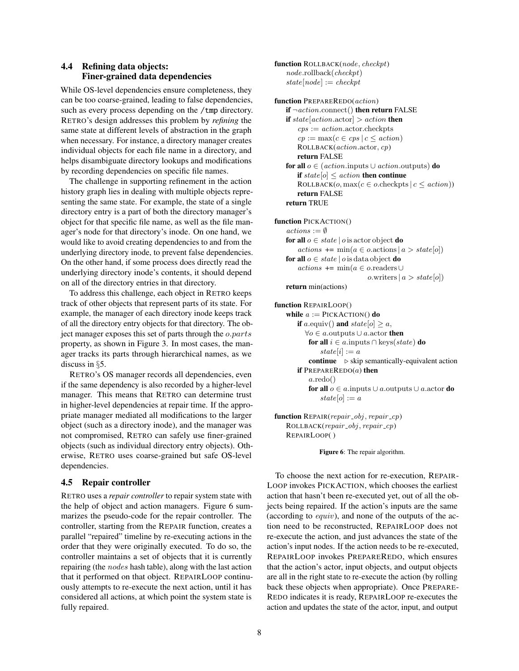# <span id="page-7-0"></span>4.4 Refining data objects: Finer-grained data dependencies

While OS-level dependencies ensure completeness, they can be too coarse-grained, leading to false dependencies, such as every process depending on the /tmp directory. RETRO's design addresses this problem by *refining* the same state at different levels of abstraction in the graph when necessary. For instance, a directory manager creates individual objects for each file name in a directory, and helps disambiguate directory lookups and modifications by recording dependencies on specific file names.

The challenge in supporting refinement in the action history graph lies in dealing with multiple objects representing the same state. For example, the state of a single directory entry is a part of both the directory manager's object for that specific file name, as well as the file manager's node for that directory's inode. On one hand, we would like to avoid creating dependencies to and from the underlying directory inode, to prevent false dependencies. On the other hand, if some process does directly read the underlying directory inode's contents, it should depend on all of the directory entries in that directory.

To address this challenge, each object in RETRO keeps track of other objects that represent parts of its state. For example, the manager of each directory inode keeps track of all the directory entry objects for that directory. The object manager exposes this set of parts through the o.parts property, as shown in Figure [3.](#page-5-0) In most cases, the manager tracks its parts through hierarchical names, as we discuss in §[5.](#page-8-0)

RETRO's OS manager records all dependencies, even if the same dependency is also recorded by a higher-level manager. This means that RETRO can determine trust in higher-level dependencies at repair time. If the appropriate manager mediated all modifications to the larger object (such as a directory inode), and the manager was not compromised, RETRO can safely use finer-grained objects (such as individual directory entry objects). Otherwise, RETRO uses coarse-grained but safe OS-level dependencies.

### <span id="page-7-2"></span>4.5 Repair controller

RETRO uses a *repair controller* to repair system state with the help of object and action managers. Figure [6](#page-7-1) summarizes the pseudo-code for the repair controller. The controller, starting from the REPAIR function, creates a parallel "repaired" timeline by re-executing actions in the order that they were originally executed. To do so, the controller maintains a set of objects that it is currently repairing (the nodes hash table), along with the last action that it performed on that object. REPAIRLOOP continuously attempts to re-execute the next action, until it has considered all actions, at which point the system state is fully repaired.

function ROLLBACK(node, checkpt) node.rollback(checkpt)  $state[node] := checkpt$ 

```
function PREPAREREDO(action)
    if \neg action.connect() then return FALSE
    if state[action. actor] > action then
        cps := action.actor.checkpts
        cp := \max(c \in cps \mid c \leq action)ROLLBACK(action.actor, cp)
        return FALSE
    for all o \in (action.\text{inputs} \cup action.\text{outputs}) do
        if state[o] \leq action then continue
        ROLLBACK(o, max(c \in o.\text{checkpts} \mid c \leq action))
        return FALSE
    return TRUE
function PICKACTION()
    actions := \emptysetfor all o \in state \mid o is actor object do
        actions \vDash \min(a \in o \text{.actions} \mid a > state[o])for all o \in state \mid o is data object do
        actions \pm min(a ∈ o.readers ∪
                               o.writers |a| > state[o]return min(actions)
function REPAIRLOOP()
    while a := PICKACTION() do
       if a.equiv() and state[o] \geq a,
          ∀o ∈ a.outputs ∪ a.actor then
           for all i \in a.inputs ∩ keys(state) do
               state[i] := acontinue \triangleright skip semantically-equivalent action
        if PREPAREREDO(a) then
           a.redo()
```

```
for all o \in a.inputs ∪ a.outputs ∪ a.actor do
   state[o] := a
```

```
function REPAIR(repair\_obj, repair\_cp)ROLLBACK(repair_obj, repair_cp)REPAIRLOOP( )
```
<span id="page-7-1"></span>Figure 6: The repair algorithm.

To choose the next action for re-execution, REPAIR-LOOP invokes PICKACTION, which chooses the earliest action that hasn't been re-executed yet, out of all the objects being repaired. If the action's inputs are the same (according to equiv), and none of the outputs of the action need to be reconstructed, REPAIRLOOP does not re-execute the action, and just advances the state of the action's input nodes. If the action needs to be re-executed, REPAIRLOOP invokes PREPAREREDO, which ensures that the action's actor, input objects, and output objects are all in the right state to re-execute the action (by rolling back these objects when appropriate). Once PREPARE-REDO indicates it is ready, REPAIRLOOP re-executes the action and updates the state of the actor, input, and output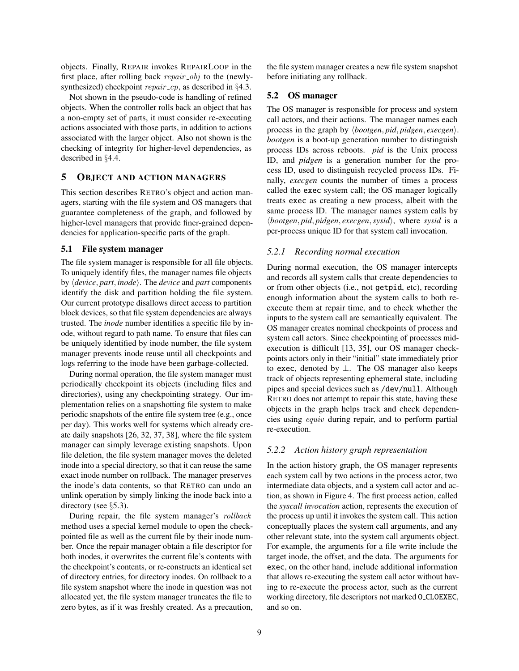objects. Finally, REPAIR invokes REPAIRLOOP in the first place, after rolling back  $repair\_obj$  to the (newlysynthesized) checkpoint repair  $cp$ , as described in §[4.3.](#page-6-0)

Not shown in the pseudo-code is handling of refined objects. When the controller rolls back an object that has a non-empty set of parts, it must consider re-executing actions associated with those parts, in addition to actions associated with the larger object. Also not shown is the checking of integrity for higher-level dependencies, as described in §[4.4.](#page-7-0)

# <span id="page-8-0"></span>5 OBJECT AND ACTION MANAGERS

This section describes RETRO's object and action managers, starting with the file system and OS managers that guarantee completeness of the graph, and followed by higher-level managers that provide finer-grained dependencies for application-specific parts of the graph.

### 5.1 File system manager

The file system manager is responsible for all file objects. To uniquely identify files, the manager names file objects by  $\langle device, part, inode \rangle$ . The *device* and *part* components identify the disk and partition holding the file system. Our current prototype disallows direct access to partition block devices, so that file system dependencies are always trusted. The *inode* number identifies a specific file by inode, without regard to path name. To ensure that files can be uniquely identified by inode number, the file system manager prevents inode reuse until all checkpoints and logs referring to the inode have been garbage-collected.

During normal operation, the file system manager must periodically checkpoint its objects (including files and directories), using any checkpointing strategy. Our implementation relies on a snapshotting file system to make periodic snapshots of the entire file system tree (e.g., once per day). This works well for systems which already create daily snapshots [\[26,](#page-15-29) [32,](#page-15-30) [37,](#page-15-31) [38\]](#page-15-32), where the file system manager can simply leverage existing snapshots. Upon file deletion, the file system manager moves the deleted inode into a special directory, so that it can reuse the same exact inode number on rollback. The manager preserves the inode's data contents, so that RETRO can undo an unlink operation by simply linking the inode back into a directory (see §[5.3\)](#page-9-1).

During repair, the file system manager's rollback method uses a special kernel module to open the checkpointed file as well as the current file by their inode number. Once the repair manager obtain a file descriptor for both inodes, it overwrites the current file's contents with the checkpoint's contents, or re-constructs an identical set of directory entries, for directory inodes. On rollback to a file system snapshot where the inode in question was not allocated yet, the file system manager truncates the file to zero bytes, as if it was freshly created. As a precaution,

the file system manager creates a new file system snapshot before initiating any rollback.

### 5.2 OS manager

The OS manager is responsible for process and system call actors, and their actions. The manager names each process in the graph by  $\langle bootgen, pid, pidgen, except\rangle$ . *bootgen* is a boot-up generation number to distinguish process IDs across reboots. *pid* is the Unix process ID, and *pidgen* is a generation number for the process ID, used to distinguish recycled process IDs. Finally, *execgen* counts the number of times a process called the exec system call; the OS manager logically treats exec as creating a new process, albeit with the same process ID. The manager names system calls by h*bootgen*, *pid*, *pidgen*, *execgen*,*sysid*i, where *sysid* is a per-process unique ID for that system call invocation.

#### *5.2.1 Recording normal execution*

During normal execution, the OS manager intercepts and records all system calls that create dependencies to or from other objects (i.e., not getpid, etc), recording enough information about the system calls to both reexecute them at repair time, and to check whether the inputs to the system call are semantically equivalent. The OS manager creates nominal checkpoints of process and system call actors. Since checkpointing of processes midexecution is difficult [\[13,](#page-15-37) [35\]](#page-15-38), our OS manager checkpoints actors only in their "initial" state immediately prior to exec, denoted by ⊥. The OS manager also keeps track of objects representing ephemeral state, including pipes and special devices such as /dev/null. Although RETRO does not attempt to repair this state, having these objects in the graph helps track and check dependencies using equiv during repair, and to perform partial re-execution.

#### *5.2.2 Action history graph representation*

In the action history graph, the OS manager represents each system call by two actions in the process actor, two intermediate data objects, and a system call actor and action, as shown in Figure [4.](#page-6-1) The first process action, called the *syscall invocation* action, represents the execution of the process up until it invokes the system call. This action conceptually places the system call arguments, and any other relevant state, into the system call arguments object. For example, the arguments for a file write include the target inode, the offset, and the data. The arguments for exec, on the other hand, include additional information that allows re-executing the system call actor without having to re-execute the process actor, such as the current working directory, file descriptors not marked O CLOEXEC, and so on.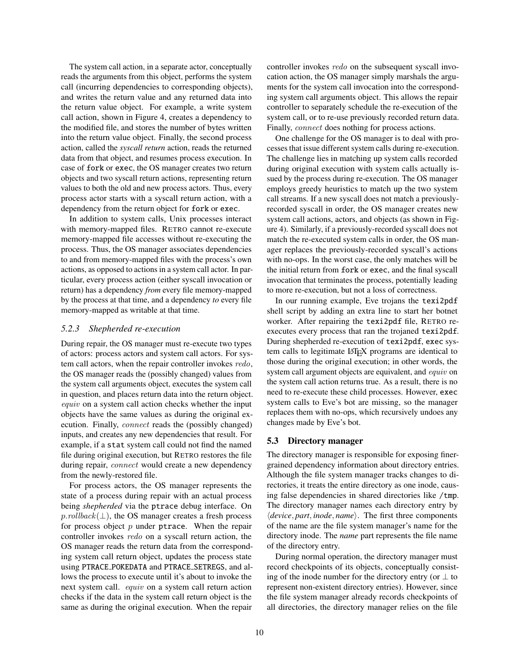The system call action, in a separate actor, conceptually reads the arguments from this object, performs the system call (incurring dependencies to corresponding objects), and writes the return value and any returned data into the return value object. For example, a write system call action, shown in Figure [4,](#page-6-1) creates a dependency to the modified file, and stores the number of bytes written into the return value object. Finally, the second process action, called the *syscall return* action, reads the returned data from that object, and resumes process execution. In case of fork or exec, the OS manager creates two return objects and two syscall return actions, representing return values to both the old and new process actors. Thus, every process actor starts with a syscall return action, with a dependency from the return object for fork or exec.

In addition to system calls, Unix processes interact with memory-mapped files. RETRO cannot re-execute memory-mapped file accesses without re-executing the process. Thus, the OS manager associates dependencies to and from memory-mapped files with the process's own actions, as opposed to actions in a system call actor. In particular, every process action (either syscall invocation or return) has a dependency *from* every file memory-mapped by the process at that time, and a dependency *to* every file memory-mapped as writable at that time.

#### <span id="page-9-0"></span>*5.2.3 Shepherded re-execution*

During repair, the OS manager must re-execute two types of actors: process actors and system call actors. For system call actors, when the repair controller invokes redo, the OS manager reads the (possibly changed) values from the system call arguments object, executes the system call in question, and places return data into the return object. equiv on a system call action checks whether the input objects have the same values as during the original execution. Finally, connect reads the (possibly changed) inputs, and creates any new dependencies that result. For example, if a stat system call could not find the named file during original execution, but RETRO restores the file during repair, *connect* would create a new dependency from the newly-restored file.

For process actors, the OS manager represents the state of a process during repair with an actual process being *shepherded* via the ptrace debug interface. On  $p.rollback(\perp)$ , the OS manager creates a fresh process for process object  $p$  under ptrace. When the repair controller invokes redo on a syscall return action, the OS manager reads the return data from the corresponding system call return object, updates the process state using PTRACE POKEDATA and PTRACE SETREGS, and allows the process to execute until it's about to invoke the next system call. equiv on a system call return action checks if the data in the system call return object is the same as during the original execution. When the repair

controller invokes redo on the subsequent syscall invocation action, the OS manager simply marshals the arguments for the system call invocation into the corresponding system call arguments object. This allows the repair controller to separately schedule the re-execution of the system call, or to re-use previously recorded return data. Finally, connect does nothing for process actions.

One challenge for the OS manager is to deal with processes that issue different system calls during re-execution. The challenge lies in matching up system calls recorded during original execution with system calls actually issued by the process during re-execution. The OS manager employs greedy heuristics to match up the two system call streams. If a new syscall does not match a previouslyrecorded syscall in order, the OS manager creates new system call actions, actors, and objects (as shown in Figure [4\)](#page-6-1). Similarly, if a previously-recorded syscall does not match the re-executed system calls in order, the OS manager replaces the previously-recorded syscall's actions with no-ops. In the worst case, the only matches will be the initial return from fork or exec, and the final syscall invocation that terminates the process, potentially leading to more re-execution, but not a loss of correctness.

In our running example, Eve trojans the texi2pdf shell script by adding an extra line to start her botnet worker. After repairing the texi2pdf file, RETRO reexecutes every process that ran the trojaned texi2pdf. During shepherded re-execution of texi2pdf, exec system calls to legitimate LATEX programs are identical to those during the original execution; in other words, the system call argument objects are equivalent, and equiv on the system call action returns true. As a result, there is no need to re-execute these child processes. However, exec system calls to Eve's bot are missing, so the manager replaces them with no-ops, which recursively undoes any changes made by Eve's bot.

#### <span id="page-9-1"></span>5.3 Directory manager

The directory manager is responsible for exposing finergrained dependency information about directory entries. Although the file system manager tracks changes to directories, it treats the entire directory as one inode, causing false dependencies in shared directories like /tmp. The directory manager names each directory entry by h*device*, *part*, *inode*, *name*i. The first three components of the name are the file system manager's name for the directory inode. The *name* part represents the file name of the directory entry.

During normal operation, the directory manager must record checkpoints of its objects, conceptually consisting of the inode number for the directory entry (or  $\perp$  to represent non-existent directory entries). However, since the file system manager already records checkpoints of all directories, the directory manager relies on the file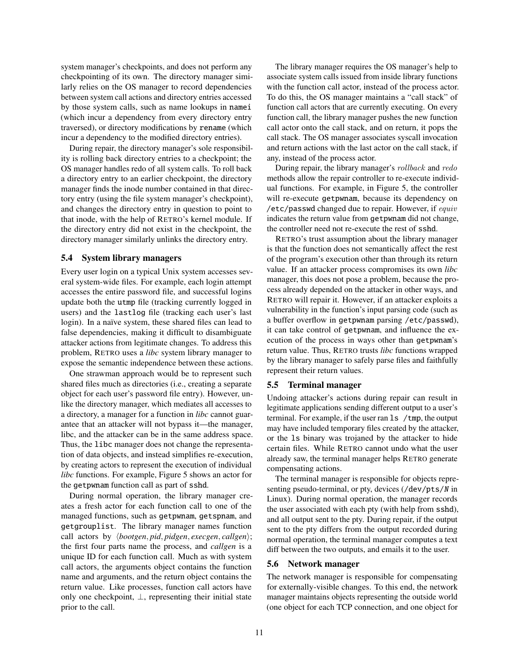system manager's checkpoints, and does not perform any checkpointing of its own. The directory manager similarly relies on the OS manager to record dependencies between system call actions and directory entries accessed by those system calls, such as name lookups in namei (which incur a dependency from every directory entry traversed), or directory modifications by rename (which incur a dependency to the modified directory entries).

During repair, the directory manager's sole responsibility is rolling back directory entries to a checkpoint; the OS manager handles redo of all system calls. To roll back a directory entry to an earlier checkpoint, the directory manager finds the inode number contained in that directory entry (using the file system manager's checkpoint), and changes the directory entry in question to point to that inode, with the help of RETRO's kernel module. If the directory entry did not exist in the checkpoint, the directory manager similarly unlinks the directory entry.

### 5.4 System library managers

Every user login on a typical Unix system accesses several system-wide files. For example, each login attempt accesses the entire password file, and successful logins update both the utmp file (tracking currently logged in users) and the lastlog file (tracking each user's last login). In a naïve system, these shared files can lead to false dependencies, making it difficult to disambiguate attacker actions from legitimate changes. To address this problem, RETRO uses a *libc* system library manager to expose the semantic independence between these actions.

One strawman approach would be to represent such shared files much as directories (i.e., creating a separate object for each user's password file entry). However, unlike the directory manager, which mediates all accesses to a directory, a manager for a function in *libc* cannot guarantee that an attacker will not bypass it—the manager, libc, and the attacker can be in the same address space. Thus, the libc manager does not change the representation of data objects, and instead simplifies re-execution, by creating actors to represent the execution of individual *libc* functions. For example, Figure [5](#page-6-2) shows an actor for the getpwnam function call as part of sshd.

During normal operation, the library manager creates a fresh actor for each function call to one of the managed functions, such as getpwnam, getspnam, and getgrouplist. The library manager names function call actors by  $\langle bootgen, pid, pidgen, except, callgen\rangle;$ the first four parts name the process, and *callgen* is a unique ID for each function call. Much as with system call actors, the arguments object contains the function name and arguments, and the return object contains the return value. Like processes, function call actors have only one checkpoint,  $\bot$ , representing their initial state prior to the call.

The library manager requires the OS manager's help to associate system calls issued from inside library functions with the function call actor, instead of the process actor. To do this, the OS manager maintains a "call stack" of function call actors that are currently executing. On every function call, the library manager pushes the new function call actor onto the call stack, and on return, it pops the call stack. The OS manager associates syscall invocation and return actions with the last actor on the call stack, if any, instead of the process actor.

During repair, the library manager's rollback and redo methods allow the repair controller to re-execute individual functions. For example, in Figure [5,](#page-6-2) the controller will re-execute getpwnam, because its dependency on /etc/passwd changed due to repair. However, if equiv indicates the return value from getpwnam did not change, the controller need not re-execute the rest of sshd.

RETRO's trust assumption about the library manager is that the function does not semantically affect the rest of the program's execution other than through its return value. If an attacker process compromises its own *libc* manager, this does not pose a problem, because the process already depended on the attacker in other ways, and RETRO will repair it. However, if an attacker exploits a vulnerability in the function's input parsing code (such as a buffer overflow in getpwnam parsing /etc/passwd), it can take control of getpwnam, and influence the execution of the process in ways other than getpwnam's return value. Thus, RETRO trusts *libc* functions wrapped by the library manager to safely parse files and faithfully represent their return values.

#### 5.5 Terminal manager

Undoing attacker's actions during repair can result in legitimate applications sending different output to a user's terminal. For example, if the user ran ls /tmp, the output may have included temporary files created by the attacker, or the ls binary was trojaned by the attacker to hide certain files. While RETRO cannot undo what the user already saw, the terminal manager helps RETRO generate compensating actions.

The terminal manager is responsible for objects representing pseudo-terminal, or pty, devices (/dev/pts/N in Linux). During normal operation, the manager records the user associated with each pty (with help from sshd), and all output sent to the pty. During repair, if the output sent to the pty differs from the output recorded during normal operation, the terminal manager computes a text diff between the two outputs, and emails it to the user.

#### 5.6 Network manager

The network manager is responsible for compensating for externally-visible changes. To this end, the network manager maintains objects representing the outside world (one object for each TCP connection, and one object for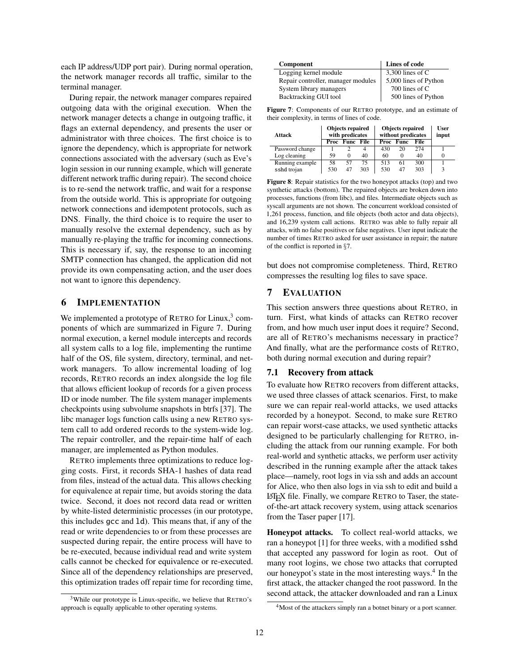each IP address/UDP port pair). During normal operation, the network manager records all traffic, similar to the terminal manager.

During repair, the network manager compares repaired outgoing data with the original execution. When the network manager detects a change in outgoing traffic, it flags an external dependency, and presents the user or administrator with three choices. The first choice is to ignore the dependency, which is appropriate for network connections associated with the adversary (such as Eve's login session in our running example, which will generate different network traffic during repair). The second choice is to re-send the network traffic, and wait for a response from the outside world. This is appropriate for outgoing network connections and idempotent protocols, such as DNS. Finally, the third choice is to require the user to manually resolve the external dependency, such as by manually re-playing the traffic for incoming connections. This is necessary if, say, the response to an incoming SMTP connection has changed, the application did not provide its own compensating action, and the user does not want to ignore this dependency.

# <span id="page-11-0"></span>6 IMPLEMENTATION

We implemented a prototype of RETRO for Linux,<sup>[3](#page-11-2)</sup> components of which are summarized in Figure [7.](#page-11-3) During normal execution, a kernel module intercepts and records all system calls to a log file, implementing the runtime half of the OS, file system, directory, terminal, and network managers. To allow incremental loading of log records, RETRO records an index alongside the log file that allows efficient lookup of records for a given process ID or inode number. The file system manager implements checkpoints using subvolume snapshots in btrfs [\[37\]](#page-15-31). The libc manager logs function calls using a new RETRO system call to add ordered records to the system-wide log. The repair controller, and the repair-time half of each manager, are implemented as Python modules.

RETRO implements three optimizations to reduce logging costs. First, it records SHA-1 hashes of data read from files, instead of the actual data. This allows checking for equivalence at repair time, but avoids storing the data twice. Second, it does not record data read or written by white-listed deterministic processes (in our prototype, this includes gcc and ld). This means that, if any of the read or write dependencies to or from these processes are suspected during repair, the entire process will have to be re-executed, because individual read and write system calls cannot be checked for equivalence or re-executed. Since all of the dependency relationships are preserved, this optimization trades off repair time for recording time,

| Component                          | Lines of code         |
|------------------------------------|-----------------------|
| Logging kernel module              | 3,300 lines of $C$    |
| Repair controller, manager modules | 5,000 lines of Python |
| System library managers            | 700 lines of C        |
| Backtracking GUI tool              | 500 lines of Python   |

<span id="page-11-3"></span>Figure 7: Components of our RETRO prototype, and an estimate of their complexity, in terms of lines of code.

| Attack          |     | <b>Objects repaired</b><br>with predicates |     | <b>Objects repaired</b><br>without predicates |             |      | <b>User</b><br>input |
|-----------------|-----|--------------------------------------------|-----|-----------------------------------------------|-------------|------|----------------------|
|                 |     | <b>Proc</b> Func File                      |     | Proc                                          | <b>Func</b> | File |                      |
| Password change |     |                                            | 4   | 430                                           | 20          | 274  |                      |
| Log cleaning    | 59  | $\Omega$                                   | 40  | 60                                            |             | 40   |                      |
| Running example | 58  | 57                                         | 75  | 513                                           | 61          | 300  |                      |
| sshd trojan     | 530 | 47                                         | 303 | 530                                           | 47          | 303  | 3                    |

<span id="page-11-5"></span>Figure 8: Repair statistics for the two honeypot attacks (top) and two synthetic attacks (bottom). The repaired objects are broken down into processes, functions (from libc), and files. Intermediate objects such as syscall arguments are not shown. The concurrent workload consisted of 1,261 process, function, and file objects (both actor and data objects), and 16,239 system call actions. RETRO was able to fully repair all attacks, with no false positives or false negatives. User input indicate the number of times RETRO asked for user assistance in repair; the nature of the conflict is reported in §[7.](#page-11-1)

but does not compromise completeness. Third, RETRO compresses the resulting log files to save space.

# <span id="page-11-1"></span>7 EVALUATION

This section answers three questions about RETRO, in turn. First, what kinds of attacks can RETRO recover from, and how much user input does it require? Second, are all of RETRO's mechanisms necessary in practice? And finally, what are the performance costs of RETRO, both during normal execution and during repair?

### <span id="page-11-6"></span>7.1 Recovery from attack

To evaluate how RETRO recovers from different attacks, we used three classes of attack scenarios. First, to make sure we can repair real-world attacks, we used attacks recorded by a honeypot. Second, to make sure RETRO can repair worst-case attacks, we used synthetic attacks designed to be particularly challenging for RETRO, including the attack from our running example. For both real-world and synthetic attacks, we perform user activity described in the running example after the attack takes place—namely, root logs in via ssh and adds an account for Alice, who then also logs in via ssh to edit and build a LATEX file. Finally, we compare RETRO to Taser, the stateof-the-art attack recovery system, using attack scenarios from the Taser paper [\[17\]](#page-15-0).

Honeypot attacks. To collect real-world attacks, we ran a honeypot [\[1\]](#page-15-39) for three weeks, with a modified sshd that accepted any password for login as root. Out of many root logins, we chose two attacks that corrupted our honeypot's state in the most interesting ways.<sup>[4](#page-11-4)</sup> In the first attack, the attacker changed the root password. In the second attack, the attacker downloaded and ran a Linux

<span id="page-11-2"></span><sup>3</sup>While our prototype is Linux-specific, we believe that RETRO's approach is equally applicable to other operating systems.

<span id="page-11-4"></span><sup>&</sup>lt;sup>4</sup>Most of the attackers simply ran a botnet binary or a port scanner.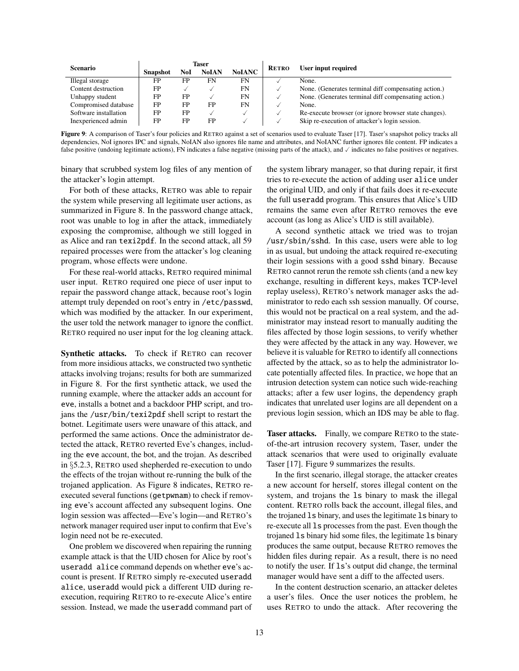| <b>Scenario</b>       | Taser           |     |              |               | <b>RETRO</b> | User input required                                   |  |  |
|-----------------------|-----------------|-----|--------------|---------------|--------------|-------------------------------------------------------|--|--|
|                       | <b>Snapshot</b> | NoI | <b>NoIAN</b> | <b>NoIANC</b> |              |                                                       |  |  |
| Illegal storage       | FP              | FP  | FN           | FN            |              | None.                                                 |  |  |
| Content destruction   | FP              |     |              | FN            |              | None. (Generates terminal diff compensating action.)  |  |  |
| Unhappy student       | FP              | FP  |              | FN            |              | None. (Generates terminal diff compensating action.)  |  |  |
| Compromised database  | FP              | FP  | FP           | FN            |              | None.                                                 |  |  |
| Software installation | <b>FP</b>       | FP  |              | ✓             |              | Re-execute browser (or ignore browser state changes). |  |  |
| Inexperienced admin   | FP              | FP  | FP           | ✓             |              | Skip re-execution of attacker's login session.        |  |  |
|                       |                 |     |              |               |              |                                                       |  |  |

<span id="page-12-0"></span>Figure 9: A comparison of Taser's four policies and RETRO against a set of scenarios used to evaluate Taser [\[17\]](#page-15-0). Taser's snapshot policy tracks all dependencies, NoI ignores IPC and signals, NoIAN also ignores file name and attributes, and NoIANC further ignores file content. FP indicates a false positive (undoing legitimate actions), FN indicates a false negative (missing parts of the attack), and  $\checkmark$  indicates no false positives or negatives.

binary that scrubbed system log files of any mention of the attacker's login attempt.

For both of these attacks, RETRO was able to repair the system while preserving all legitimate user actions, as summarized in Figure [8.](#page-11-5) In the password change attack, root was unable to log in after the attack, immediately exposing the compromise, although we still logged in as Alice and ran texi2pdf. In the second attack, all 59 repaired processes were from the attacker's log cleaning program, whose effects were undone.

For these real-world attacks, RETRO required minimal user input. RETRO required one piece of user input to repair the password change attack, because root's login attempt truly depended on root's entry in /etc/passwd, which was modified by the attacker. In our experiment, the user told the network manager to ignore the conflict. RETRO required no user input for the log cleaning attack.

Synthetic attacks. To check if RETRO can recover from more insidious attacks, we constructed two synthetic attacks involving trojans; results for both are summarized in Figure [8.](#page-11-5) For the first synthetic attack, we used the running example, where the attacker adds an account for eve, installs a botnet and a backdoor PHP script, and trojans the /usr/bin/texi2pdf shell script to restart the botnet. Legitimate users were unaware of this attack, and performed the same actions. Once the administrator detected the attack, RETRO reverted Eve's changes, including the eve account, the bot, and the trojan. As described in §[5.2.3,](#page-9-0) RETRO used shepherded re-execution to undo the effects of the trojan without re-running the bulk of the trojaned application. As Figure [8](#page-11-5) indicates, RETRO reexecuted several functions (getpwnam) to check if removing eve's account affected any subsequent logins. One login session was affected—Eve's login—and RETRO's network manager required user input to confirm that Eve's login need not be re-executed.

One problem we discovered when repairing the running example attack is that the UID chosen for Alice by root's useradd alice command depends on whether eve's account is present. If RETRO simply re-executed useradd alice, useradd would pick a different UID during reexecution, requiring RETRO to re-execute Alice's entire session. Instead, we made the useradd command part of

the system library manager, so that during repair, it first tries to re-execute the action of adding user alice under the original UID, and only if that fails does it re-execute the full useradd program. This ensures that Alice's UID remains the same even after RETRO removes the eve account (as long as Alice's UID is still available).

A second synthetic attack we tried was to trojan /usr/sbin/sshd. In this case, users were able to log in as usual, but undoing the attack required re-executing their login sessions with a good sshd binary. Because RETRO cannot rerun the remote ssh clients (and a new key exchange, resulting in different keys, makes TCP-level replay useless), RETRO's network manager asks the administrator to redo each ssh session manually. Of course, this would not be practical on a real system, and the administrator may instead resort to manually auditing the files affected by those login sessions, to verify whether they were affected by the attack in any way. However, we believe it is valuable for RETRO to identify all connections affected by the attack, so as to help the administrator locate potentially affected files. In practice, we hope that an intrusion detection system can notice such wide-reaching attacks; after a few user logins, the dependency graph indicates that unrelated user logins are all dependent on a previous login session, which an IDS may be able to flag.

Taser attacks. Finally, we compare RETRO to the stateof-the-art intrusion recovery system, Taser, under the attack scenarios that were used to originally evaluate Taser [\[17\]](#page-15-0). Figure [9](#page-12-0) summarizes the results.

In the first scenario, illegal storage, the attacker creates a new account for herself, stores illegal content on the system, and trojans the ls binary to mask the illegal content. RETRO rolls back the account, illegal files, and the trojaned ls binary, and uses the legitimate ls binary to re-execute all ls processes from the past. Even though the trojaned ls binary hid some files, the legitimate ls binary produces the same output, because RETRO removes the hidden files during repair. As a result, there is no need to notify the user. If ls's output did change, the terminal manager would have sent a diff to the affected users.

In the content destruction scenario, an attacker deletes a user's files. Once the user notices the problem, he uses RETRO to undo the attack. After recovering the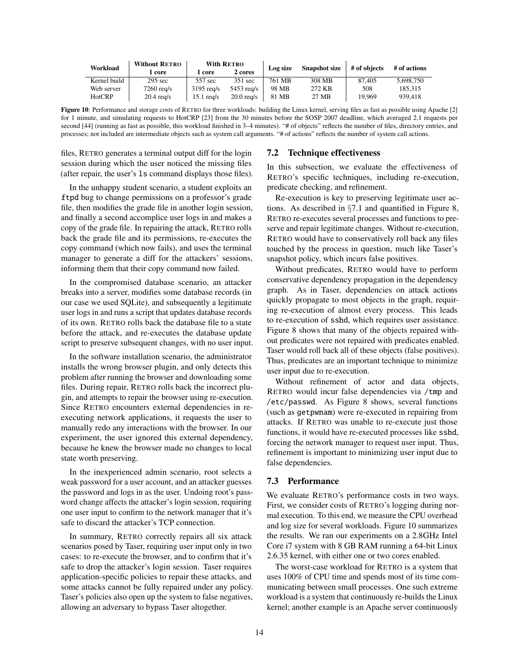| Workload      | <b>Without RETRO</b> | <b>With RETRO</b> |              | Log size | <b>Snapshot size</b> | # of objects | # of actions |
|---------------|----------------------|-------------------|--------------|----------|----------------------|--------------|--------------|
|               | l core               | l core            | 2 cores      |          |                      |              |              |
| Kernel build  | $295 \text{ sec}$    | 557 sec           | 351 sec      | 761 MB   | 308 MB               | 87,405       | 5.698.750    |
| Web server    | $7260 \text{ red/s}$ | $3195$ rea/s      | $5453$ rea/s | 98 MB    | 272 KB               | 508          | 185.315      |
| <b>HotCRP</b> | $20.4$ rea/s         | $15.1$ rea/s      | $20.0$ rea/s | 81 MB    | 27 MB                | 19.969       | 939,418      |

<span id="page-13-0"></span>Figure 10: Performance and storage costs of RETRO for three workloads: building the Linux kernel, serving files as fast as possible using Apache [\[2\]](#page-15-40) for 1 minute, and simulating requests to HotCRP [\[23\]](#page-15-1) from the 30 minutes before the SOSP 2007 deadline, which averaged 2.1 requests per second [\[44\]](#page-15-14) (running as fast as possible, this workload finished in 3–4 minutes). "# of objects" reflects the number of files, directory entries, and processes; not included are intermediate objects such as system call arguments. "# of actions" reflects the number of system call actions.

files, RETRO generates a terminal output diff for the login session during which the user noticed the missing files (after repair, the user's ls command displays those files).

In the unhappy student scenario, a student exploits an ftpd bug to change permissions on a professor's grade file, then modifies the grade file in another login session, and finally a second accomplice user logs in and makes a copy of the grade file. In repairing the attack, RETRO rolls back the grade file and its permissions, re-executes the copy command (which now fails), and uses the terminal manager to generate a diff for the attackers' sessions, informing them that their copy command now failed.

In the compromised database scenario, an attacker breaks into a server, modifies some database records (in our case we used SQLite), and subsequently a legitimate user logs in and runs a script that updates database records of its own. RETRO rolls back the database file to a state before the attack, and re-executes the database update script to preserve subsequent changes, with no user input.

In the software installation scenario, the administrator installs the wrong browser plugin, and only detects this problem after running the browser and downloading some files. During repair, RETRO rolls back the incorrect plugin, and attempts to repair the browser using re-execution. Since RETRO encounters external dependencies in reexecuting network applications, it requests the user to manually redo any interactions with the browser. In our experiment, the user ignored this external dependency, because he knew the browser made no changes to local state worth preserving.

In the inexperienced admin scenario, root selects a weak password for a user account, and an attacker guesses the password and logs in as the user. Undoing root's password change affects the attacker's login session, requiring one user input to confirm to the network manager that it's safe to discard the attacker's TCP connection.

In summary, RETRO correctly repairs all six attack scenarios posed by Taser, requiring user input only in two cases: to re-execute the browser, and to confirm that it's safe to drop the attacker's login session. Taser requires application-specific policies to repair these attacks, and some attacks cannot be fully repaired under any policy. Taser's policies also open up the system to false negatives, allowing an adversary to bypass Taser altogether.

### 7.2 Technique effectiveness

In this subsection, we evaluate the effectiveness of RETRO's specific techniques, including re-execution, predicate checking, and refinement.

Re-execution is key to preserving legitimate user actions. As described in §[7.1](#page-11-6) and quantified in Figure [8,](#page-11-5) RETRO re-executes several processes and functions to preserve and repair legitimate changes. Without re-execution, RETRO would have to conservatively roll back any files touched by the process in question, much like Taser's snapshot policy, which incurs false positives.

Without predicates, RETRO would have to perform conservative dependency propagation in the dependency graph. As in Taser, dependencies on attack actions quickly propagate to most objects in the graph, requiring re-execution of almost every process. This leads to re-execution of sshd, which requires user assistance. Figure [8](#page-11-5) shows that many of the objects repaired without predicates were not repaired with predicates enabled. Taser would roll back all of these objects (false positives). Thus, predicates are an important technique to minimize user input due to re-execution.

Without refinement of actor and data objects, RETRO would incur false dependencies via /tmp and /etc/passwd. As Figure [8](#page-11-5) shows, several functions (such as getpwnam) were re-executed in repairing from attacks. If RETRO was unable to re-execute just those functions, it would have re-executed processes like sshd, forcing the network manager to request user input. Thus, refinement is important to minimizing user input due to false dependencies.

#### 7.3 Performance

We evaluate RETRO's performance costs in two ways. First, we consider costs of RETRO's logging during normal execution. To this end, we measure the CPU overhead and log size for several workloads. Figure [10](#page-13-0) summarizes the results. We ran our experiments on a 2.8GHz Intel Core i7 system with 8 GB RAM running a 64-bit Linux 2.6.35 kernel, with either one or two cores enabled.

The worst-case workload for RETRO is a system that uses 100% of CPU time and spends most of its time communicating between small processes. One such extreme workload is a system that continuously re-builds the Linux kernel; another example is an Apache server continuously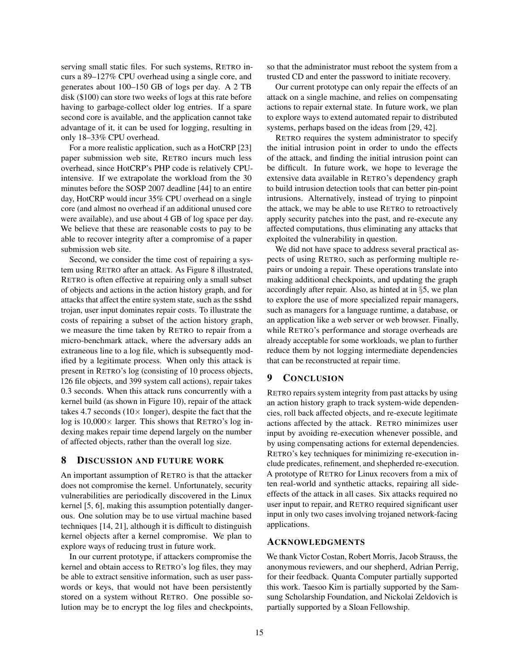serving small static files. For such systems, RETRO incurs a 89–127% CPU overhead using a single core, and generates about 100–150 GB of logs per day. A 2 TB disk (\$100) can store two weeks of logs at this rate before having to garbage-collect older log entries. If a spare second core is available, and the application cannot take advantage of it, it can be used for logging, resulting in only 18–33% CPU overhead.

For a more realistic application, such as a HotCRP [\[23\]](#page-15-1) paper submission web site, RETRO incurs much less overhead, since HotCRP's PHP code is relatively CPUintensive. If we extrapolate the workload from the 30 minutes before the SOSP 2007 deadline [\[44\]](#page-15-14) to an entire day, HotCRP would incur 35% CPU overhead on a single core (and almost no overhead if an additional unused core were available), and use about 4 GB of log space per day. We believe that these are reasonable costs to pay to be able to recover integrity after a compromise of a paper submission web site.

Second, we consider the time cost of repairing a system using RETRO after an attack. As Figure [8](#page-11-5) illustrated, RETRO is often effective at repairing only a small subset of objects and actions in the action history graph, and for attacks that affect the entire system state, such as the sshd trojan, user input dominates repair costs. To illustrate the costs of repairing a subset of the action history graph, we measure the time taken by RETRO to repair from a micro-benchmark attack, where the adversary adds an extraneous line to a log file, which is subsequently modified by a legitimate process. When only this attack is present in RETRO's log (consisting of 10 process objects, 126 file objects, and 399 system call actions), repair takes 0.3 seconds. When this attack runs concurrently with a kernel build (as shown in Figure [10\)](#page-13-0), repair of the attack takes 4.7 seconds ( $10 \times$  longer), despite the fact that the log is  $10,000 \times$  larger. This shows that RETRO's log indexing makes repair time depend largely on the number of affected objects, rather than the overall log size.

### <span id="page-14-0"></span>8 DISCUSSION AND FUTURE WORK

An important assumption of RETRO is that the attacker does not compromise the kernel. Unfortunately, security vulnerabilities are periodically discovered in the Linux kernel [\[5,](#page-15-41) [6\]](#page-15-42), making this assumption potentially dangerous. One solution may be to use virtual machine based techniques [\[14,](#page-15-6) [21\]](#page-15-16), although it is difficult to distinguish kernel objects after a kernel compromise. We plan to explore ways of reducing trust in future work.

In our current prototype, if attackers compromise the kernel and obtain access to RETRO's log files, they may be able to extract sensitive information, such as user passwords or keys, that would not have been persistently stored on a system without RETRO. One possible solution may be to encrypt the log files and checkpoints,

so that the administrator must reboot the system from a trusted CD and enter the password to initiate recovery.

Our current prototype can only repair the effects of an attack on a single machine, and relies on compensating actions to repair external state. In future work, we plan to explore ways to extend automated repair to distributed systems, perhaps based on the ideas from [\[29,](#page-15-11) [42\]](#page-15-43).

RETRO requires the system administrator to specify the initial intrusion point in order to undo the effects of the attack, and finding the initial intrusion point can be difficult. In future work, we hope to leverage the extensive data available in RETRO's dependency graph to build intrusion detection tools that can better pin-point intrusions. Alternatively, instead of trying to pinpoint the attack, we may be able to use RETRO to retroactively apply security patches into the past, and re-execute any affected computations, thus eliminating any attacks that exploited the vulnerability in question.

We did not have space to address several practical aspects of using RETRO, such as performing multiple repairs or undoing a repair. These operations translate into making additional checkpoints, and updating the graph accordingly after repair. Also, as hinted at in §[5,](#page-8-0) we plan to explore the use of more specialized repair managers, such as managers for a language runtime, a database, or an application like a web server or web browser. Finally, while RETRO's performance and storage overheads are already acceptable for some workloads, we plan to further reduce them by not logging intermediate dependencies that can be reconstructed at repair time.

# <span id="page-14-1"></span>9 CONCLUSION

RETRO repairs system integrity from past attacks by using an action history graph to track system-wide dependencies, roll back affected objects, and re-execute legitimate actions affected by the attack. RETRO minimizes user input by avoiding re-execution whenever possible, and by using compensating actions for external dependencies. RETRO's key techniques for minimizing re-execution include predicates, refinement, and shepherded re-execution. A prototype of RETRO for Linux recovers from a mix of ten real-world and synthetic attacks, repairing all sideeffects of the attack in all cases. Six attacks required no user input to repair, and RETRO required significant user input in only two cases involving trojaned network-facing applications.

# ACKNOWLEDGMENTS

We thank Victor Costan, Robert Morris, Jacob Strauss, the anonymous reviewers, and our shepherd, Adrian Perrig, for their feedback. Quanta Computer partially supported this work. Taesoo Kim is partially supported by the Samsung Scholarship Foundation, and Nickolai Zeldovich is partially supported by a Sloan Fellowship.